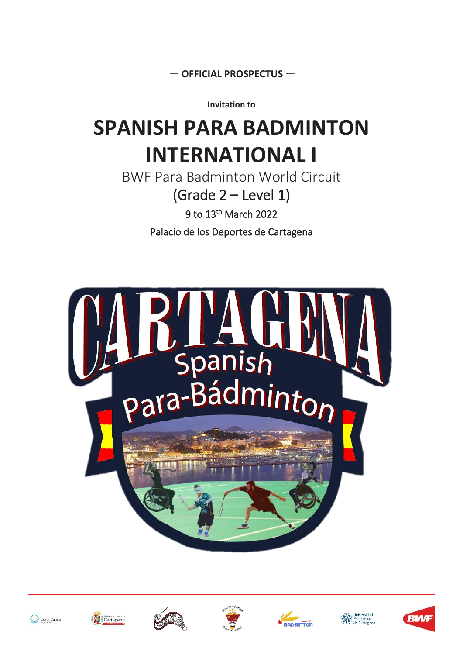— **OFFICIAL PROSPECTUS** —

**Invitation to**

# **SPANISH PARA BADMINTON INTERNATIONAL I**

BWF Para Badminton World Circuit (Grade 2 **–** Level 1)

9 to 13th March 2022

Palacio de los Deportes de Cartagena















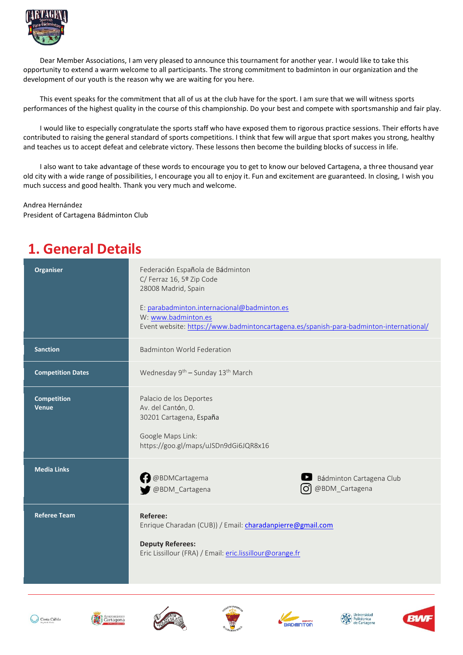

Dear Member Associations, I am very pleased to announce this tournament for another year. I would like to take this opportunity to extend a warm welcome to all participants. The strong commitment to badminton in our organization and the development of our youth is the reason why we are waiting for you here.

This event speaks for the commitment that all of us at the club have for the sport. I am sure that we will witness sports performances of the highest quality in the course of this championship. Do your best and compete with sportsmanship and fair play.

I would like to especially congratulate the sports staff who have exposed them to rigorous practice sessions. Their efforts have contributed to raising the general standard of sports competitions. I think that few will argue that sport makes you strong, healthy and teaches us to accept defeat and celebrate victory. These lessons then become the building blocks of success in life.

I also want to take advantage of these words to encourage you to get to know our beloved Cartagena, a three thousand year old city with a wide range of possibilities, I encourage you all to enjoy it. Fun and excitement are guaranteed. In closing, I wish you much success and good health. Thank you very much and welcome.

Andrea Hernández President of Cartagena Bádminton Club

### **1. General Details**

| <b>Organiser</b>                   | Federación Española de Bádminton<br>C/ Ferraz 16, 5º Zip Code<br>28008 Madrid, Spain<br>E: parabadminton.internacional@badminton.es<br>W: www.badminton.es<br>Event website: https://www.badmintoncartagena.es/spanish-para-badminton-international/ |                                                    |
|------------------------------------|------------------------------------------------------------------------------------------------------------------------------------------------------------------------------------------------------------------------------------------------------|----------------------------------------------------|
| <b>Sanction</b>                    | <b>Badminton World Federation</b>                                                                                                                                                                                                                    |                                                    |
| <b>Competition Dates</b>           | Wednesday 9 <sup>th</sup> - Sunday 13 <sup>th</sup> March                                                                                                                                                                                            |                                                    |
| <b>Competition</b><br><b>Venue</b> | Palacio de los Deportes<br>Av. del Cantón, 0.<br>30201 Cartagena, España<br>Google Maps Link:<br>https://goo.gl/maps/uJSDn9dGi6JQR8x16                                                                                                               |                                                    |
| <b>Media Links</b>                 | <b>B</b> @BDMCartagema<br>@BDM_Cartagena                                                                                                                                                                                                             | Bádminton Cartagena Club<br>@BDM_Cartagena<br>lO'l |
| <b>Referee Team</b>                | Referee:<br>Enrique Charadan (CUB)) / Email: <i>charadanpierre@gmail.com</i><br><b>Deputy Referees:</b><br>Eric Lissillour (FRA) / Email: eric.lissillour@orange.fr                                                                                  |                                                    |













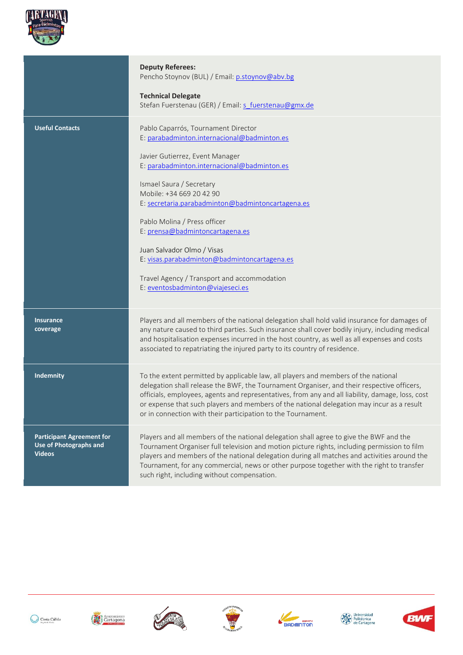

|                                                                                    | <b>Deputy Referees:</b><br>Pencho Stoynov (BUL) / Email: p.stoynov@abv.bg<br><b>Technical Delegate</b><br>Stefan Fuerstenau (GER) / Email: s fuerstenau@gmx.de                                                                                                                                                                                                                                                                                                                                                        |
|------------------------------------------------------------------------------------|-----------------------------------------------------------------------------------------------------------------------------------------------------------------------------------------------------------------------------------------------------------------------------------------------------------------------------------------------------------------------------------------------------------------------------------------------------------------------------------------------------------------------|
| <b>Useful Contacts</b>                                                             | Pablo Caparrós, Tournament Director<br>E: parabadminton.internacional@badminton.es<br>Javier Gutierrez, Event Manager<br>E: parabadminton.internacional@badminton.es<br>Ismael Saura / Secretary<br>Mobile: +34 669 20 42 90<br>E: secretaria.parabadminton@badmintoncartagena.es<br>Pablo Molina / Press officer<br>E: prensa@badmintoncartagena.es<br>Juan Salvador Olmo / Visas<br>E: visas.parabadminton@badmintoncartagena.es<br>Travel Agency / Transport and accommodation<br>E: eventosbadminton@viajeseci.es |
| <b>Insurance</b><br>coverage                                                       | Players and all members of the national delegation shall hold valid insurance for damages of<br>any nature caused to third parties. Such insurance shall cover bodily injury, including medical<br>and hospitalisation expenses incurred in the host country, as well as all expenses and costs<br>associated to repatriating the injured party to its country of residence.                                                                                                                                          |
| Indemnity                                                                          | To the extent permitted by applicable law, all players and members of the national<br>delegation shall release the BWF, the Tournament Organiser, and their respective officers,<br>officials, employees, agents and representatives, from any and all liability, damage, loss, cost<br>or expense that such players and members of the national delegation may incur as a result<br>or in connection with their participation to the Tournament.                                                                     |
| <b>Participant Agreement for</b><br><b>Use of Photographs and</b><br><b>Videos</b> | Players and all members of the national delegation shall agree to give the BWF and the<br>Tournament Organiser full television and motion picture rights, including permission to film<br>players and members of the national delegation during all matches and activities around the<br>Tournament, for any commercial, news or other purpose together with the right to transfer<br>such right, including without compensation.                                                                                     |













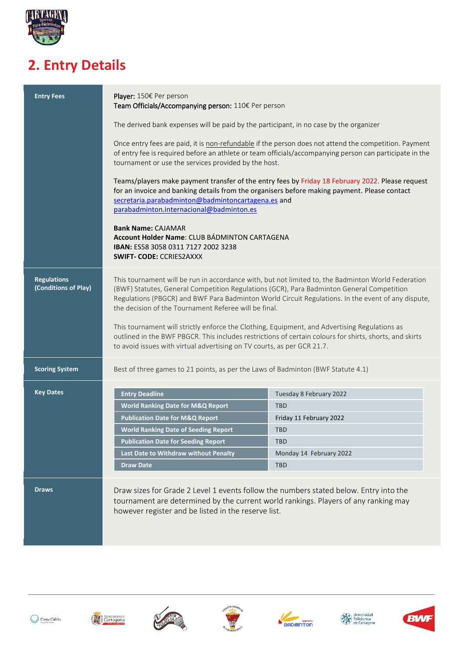

## **2. Entry Details**

| <b>Entry Fees</b>                          | Player: 150€ Per person<br>Team Officials/Accompanying person: 110€ Per person                                                                                                                                                                                                                                                                                 |                                                                                                                                                                              |  |  |
|--------------------------------------------|----------------------------------------------------------------------------------------------------------------------------------------------------------------------------------------------------------------------------------------------------------------------------------------------------------------------------------------------------------------|------------------------------------------------------------------------------------------------------------------------------------------------------------------------------|--|--|
|                                            | The derived bank expenses will be paid by the participant, in no case by the organizer                                                                                                                                                                                                                                                                         |                                                                                                                                                                              |  |  |
|                                            | Once entry fees are paid, it is non-refundable if the person does not attend the competition. Payment<br>of entry fee is required before an athlete or team officials/accompanying person can participate in the<br>tournament or use the services provided by the host.                                                                                       |                                                                                                                                                                              |  |  |
|                                            | Teams/players make payment transfer of the entry fees by Friday 18 February 2022. Please request<br>for an invoice and banking details from the organisers before making payment. Please contact<br>secretaria.parabadminton@badmintoncartagena.es and<br>parabadminton.internacional@badminton.es                                                             |                                                                                                                                                                              |  |  |
|                                            | <b>Bank Name: CAJAMAR</b><br>Account Holder Name: CLUB BÁDMINTON CARTAGENA<br>IBAN: ES58 3058 0311 7127 2002 3238<br><b>SWIFT- CODE: CCRIES2AXXX</b>                                                                                                                                                                                                           |                                                                                                                                                                              |  |  |
| <b>Regulations</b><br>(Conditions of Play) | This tournament will be run in accordance with, but not limited to, the Badminton World Federation<br>(BWF) Statutes, General Competition Regulations (GCR), Para Badminton General Competition<br>Regulations (PBGCR) and BWF Para Badminton World Circuit Regulations. In the event of any dispute,<br>the decision of the Tournament Referee will be final. |                                                                                                                                                                              |  |  |
|                                            | This tournament will strictly enforce the Clothing, Equipment, and Advertising Regulations as<br>outlined in the BWF PBGCR. This includes restrictions of certain colours for shirts, shorts, and skirts<br>to avoid issues with virtual advertising on TV courts, as per GCR 21.7.                                                                            |                                                                                                                                                                              |  |  |
| <b>Scoring System</b>                      | Best of three games to 21 points, as per the Laws of Badminton (BWF Statute 4.1)                                                                                                                                                                                                                                                                               |                                                                                                                                                                              |  |  |
| <b>Key Dates</b>                           | <b>Entry Deadline</b>                                                                                                                                                                                                                                                                                                                                          | Tuesday 8 February 2022                                                                                                                                                      |  |  |
|                                            | <b>World Ranking Date for M&amp;Q Report</b>                                                                                                                                                                                                                                                                                                                   | <b>TBD</b>                                                                                                                                                                   |  |  |
|                                            | <b>Publication Date for M&amp;Q Report</b>                                                                                                                                                                                                                                                                                                                     | Friday 11 February 2022                                                                                                                                                      |  |  |
|                                            | <b>World Ranking Date of Seeding Report</b>                                                                                                                                                                                                                                                                                                                    | <b>TBD</b>                                                                                                                                                                   |  |  |
|                                            | <b>Publication Date for Seeding Report</b>                                                                                                                                                                                                                                                                                                                     | <b>TBD</b>                                                                                                                                                                   |  |  |
|                                            | Last Date to Withdraw without Penalty                                                                                                                                                                                                                                                                                                                          | Monday 14 February 2022                                                                                                                                                      |  |  |
|                                            | <b>Draw Date</b>                                                                                                                                                                                                                                                                                                                                               | <b>TBD</b>                                                                                                                                                                   |  |  |
| <b>Draws</b>                               | however register and be listed in the reserve list.                                                                                                                                                                                                                                                                                                            | Draw sizes for Grade 2 Level 1 events follow the numbers stated below. Entry into the<br>tournament are determined by the current world rankings. Players of any ranking may |  |  |













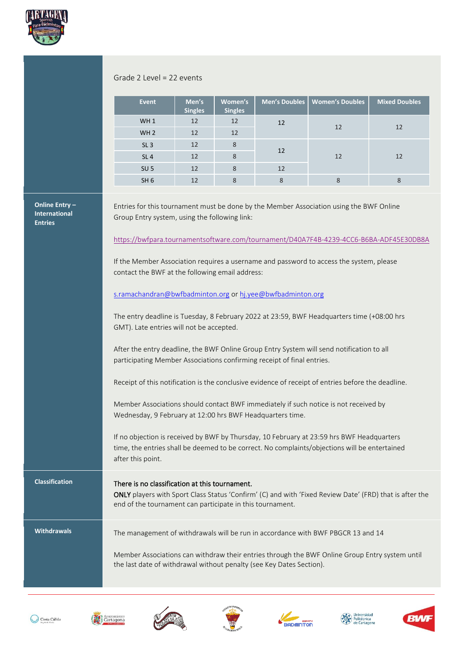

#### Grade 2 Level = 22 events

| <b>Event</b>    | Men's<br><b>Singles</b> | Women's<br><b>Singles</b> | Men's Doubles | <b>Women's Doubles</b> | <b>Mixed Doubles</b> |  |
|-----------------|-------------------------|---------------------------|---------------|------------------------|----------------------|--|
| WH <sub>1</sub> | 12                      | 12                        | 12            | 12                     | 12                   |  |
| WH <sub>2</sub> | 12                      | 12                        |               |                        |                      |  |
| SL <sub>3</sub> | 12                      | 8                         | 12            |                        |                      |  |
| SL <sub>4</sub> | 12                      | 8                         | 12            |                        | 12                   |  |
| SU <sub>5</sub> | 12                      | 8                         | 12            |                        |                      |  |
| SH <sub>6</sub> | 12                      | 8                         | 8             | 8                      | 8                    |  |

#### **Online Entry – International Entries**

Entries for this tournament must be done by the Member Association using the BWF Online Group Entry system, using the following link:

<https://bwfpara.tournamentsoftware.com/tournament/D40A7F4B-4239-4CC6-B6BA-ADF45E30DB8A>

If the Member Association requires a username and password to access the system, please contact the BWF at the following email address:

#### [s.ramachandran@bwfbadminton.org](mailto:s.ramachandran@bwfbadminton.org) o[r hj.yee@bwfbadminton.org](mailto:hj.yee@bwfbadminton.org)

The entry deadline is Tuesday, 8 February 2022 at 23:59, BWF Headquarters time (+08:00 hrs GMT). Late entries will not be accepted.

After the entry deadline, the BWF Online Group Entry System will send notification to all participating Member Associations confirming receipt of final entries.

Receipt of this notification is the conclusive evidence of receipt of entries before the deadline.

Member Associations should contact BWF immediately if such notice is not received by Wednesday, 9 February at 12:00 hrs BWF Headquarters time.

If no objection is received by BWF by Thursday, 10 February at 23:59 hrs BWF Headquarters time, the entries shall be deemed to be correct. No complaints/objections will be entertained after this point.

### **Classification** There is no classification at this tournament.

ONLY players with Sport Class Status 'Confirm' (C) and with 'Fixed Review Date' (FRD) that is after the end of the tournament can participate in this tournament.

**Withdrawals** The management of withdrawals will be run in accordance with BWF PBGCR 13 and 14

Member Associations can withdraw their entries through the BWF Online Group Entry system until the last date of withdrawal without penalty (see Key Dates Section).













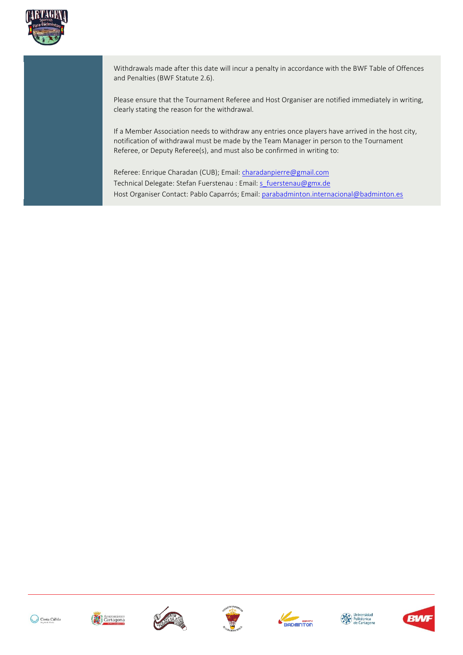

Withdrawals made after this date will incur a penalty in accordance with the BWF Table of Offences and Penalties (BWF Statute 2.6).

Please ensure that the Tournament Referee and Host Organiser are notified immediately in writing, clearly stating the reason for the withdrawal.

If a Member Association needs to withdraw any entries once players have arrived in the host city, notification of withdrawal must be made by the Team Manager in person to the Tournament Referee, or Deputy Referee(s), and must also be confirmed in writing to:

Referee: Enrique Charadan (CUB); Email: *charadanpierre@gmail.com* Technical Delegate: Stefan Fuerstenau : Email: [s\\_fuerstenau@gmx.de](mailto:s_fuerstenau@gmx.de) Host Organiser Contact: Pablo Caparrós; Email: [parabadminton.internacional@badminton.es](mailto:parabadminton.internacional@badminton.es)













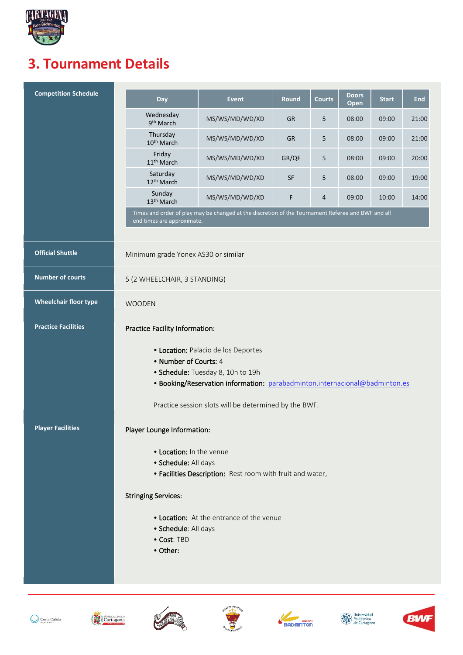

### **3. Tournament Details**

| <b>Competition Schedule</b>  | Day                                                                                                                                                                              | <b>Event</b>                                                                                       | <b>Round</b> | <b>Courts</b> | <b>Doors</b><br>Open | <b>Start</b> | <b>End</b> |
|------------------------------|----------------------------------------------------------------------------------------------------------------------------------------------------------------------------------|----------------------------------------------------------------------------------------------------|--------------|---------------|----------------------|--------------|------------|
|                              | Wednesday<br>9 <sup>th</sup> March                                                                                                                                               | MS/WS/MD/WD/XD                                                                                     | <b>GR</b>    | 5             | 08:00                | 09:00        | 21:00      |
|                              | Thursday<br>10 <sup>th</sup> March                                                                                                                                               | MS/WS/MD/WD/XD                                                                                     | <b>GR</b>    | 5             | 08:00                | 09:00        | 21:00      |
|                              | Friday<br>11 <sup>th</sup> March                                                                                                                                                 | MS/WS/MD/WD/XD                                                                                     | GR/QF        | 5             | 08:00                | 09:00        | 20:00      |
|                              | Saturday<br>12 <sup>th</sup> March                                                                                                                                               | MS/WS/MD/WD/XD                                                                                     | <b>SF</b>    | 5             | 08:00                | 09:00        | 19:00      |
|                              | Sunday<br>13 <sup>th</sup> March                                                                                                                                                 | MS/WS/MD/WD/XD                                                                                     | F            | 4             | 09:00                | 10:00        | 14:00      |
|                              | end times are approximate.                                                                                                                                                       | Times and order of play may be changed at the discretion of the Tournament Referee and BWF and all |              |               |                      |              |            |
|                              |                                                                                                                                                                                  |                                                                                                    |              |               |                      |              |            |
| <b>Official Shuttle</b>      | Minimum grade Yonex AS30 or similar                                                                                                                                              |                                                                                                    |              |               |                      |              |            |
| <b>Number of courts</b>      | 5 (2 WHEELCHAIR, 3 STANDING)                                                                                                                                                     |                                                                                                    |              |               |                      |              |            |
| <b>Wheelchair floor type</b> | <b>WOODEN</b>                                                                                                                                                                    |                                                                                                    |              |               |                      |              |            |
| <b>Practice Facilities</b>   | <b>Practice Facility Information:</b>                                                                                                                                            |                                                                                                    |              |               |                      |              |            |
|                              | • Location: Palacio de los Deportes<br>• Number of Courts: 4<br>• Schedule: Tuesday 8, 10h to 19h<br>• Booking/Reservation information: parabadminton.internacional@badminton.es |                                                                                                    |              |               |                      |              |            |
|                              | Practice session slots will be determined by the BWF.                                                                                                                            |                                                                                                    |              |               |                      |              |            |
| <b>Player Facilities</b>     | Player Lounge Information:                                                                                                                                                       |                                                                                                    |              |               |                      |              |            |
|                              | • Location: In the venue<br>· Schedule: All days<br>• Facilities Description: Rest room with fruit and water,                                                                    |                                                                                                    |              |               |                      |              |            |
|                              | <b>Stringing Services:</b>                                                                                                                                                       |                                                                                                    |              |               |                      |              |            |
|                              | · Schedule: All days<br>• Cost: TBD<br>• Other:                                                                                                                                  | • Location: At the entrance of the venue                                                           |              |               |                      |              |            |













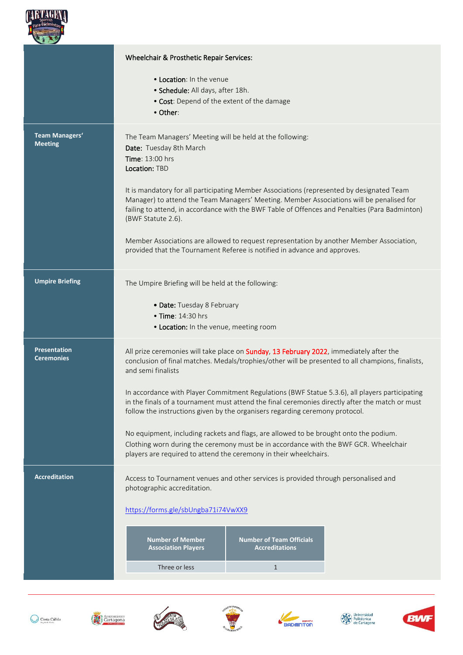

|                        | Wheelchair & Prosthetic Repair Services:                                                                                                                                              |                                                          |  |  |  |
|------------------------|---------------------------------------------------------------------------------------------------------------------------------------------------------------------------------------|----------------------------------------------------------|--|--|--|
|                        | • Location: In the venue                                                                                                                                                              |                                                          |  |  |  |
|                        | • Schedule: All days, after 18h.                                                                                                                                                      |                                                          |  |  |  |
|                        | . Cost: Depend of the extent of the damage                                                                                                                                            |                                                          |  |  |  |
|                        | • Other:                                                                                                                                                                              |                                                          |  |  |  |
| Team Managers'         | The Team Managers' Meeting will be held at the following:                                                                                                                             |                                                          |  |  |  |
| <b>Meeting</b>         | Date: Tuesday 8th March                                                                                                                                                               |                                                          |  |  |  |
|                        | <b>Time: 13:00 hrs</b>                                                                                                                                                                |                                                          |  |  |  |
|                        | Location: TBD                                                                                                                                                                         |                                                          |  |  |  |
|                        | It is mandatory for all participating Member Associations (represented by designated Team<br>Manager) to attend the Team Managers' Meeting. Member Associations will be penalised for |                                                          |  |  |  |
|                        | failing to attend, in accordance with the BWF Table of Offences and Penalties (Para Badminton)                                                                                        |                                                          |  |  |  |
|                        | (BWF Statute 2.6).                                                                                                                                                                    |                                                          |  |  |  |
|                        | Member Associations are allowed to request representation by another Member Association,                                                                                              |                                                          |  |  |  |
|                        | provided that the Tournament Referee is notified in advance and approves.                                                                                                             |                                                          |  |  |  |
|                        |                                                                                                                                                                                       |                                                          |  |  |  |
| <b>Umpire Briefing</b> | The Umpire Briefing will be held at the following:                                                                                                                                    |                                                          |  |  |  |
|                        | • Date: Tuesday 8 February                                                                                                                                                            |                                                          |  |  |  |
|                        | • Time: 14:30 hrs                                                                                                                                                                     |                                                          |  |  |  |
|                        | . Location: In the venue, meeting room                                                                                                                                                |                                                          |  |  |  |
| <b>Presentation</b>    | All prize ceremonies will take place on Sunday, 13 February 2022, immediately after the                                                                                               |                                                          |  |  |  |
| <b>Ceremonies</b>      | conclusion of final matches. Medals/trophies/other will be presented to all champions, finalists,<br>and semi finalists                                                               |                                                          |  |  |  |
|                        |                                                                                                                                                                                       |                                                          |  |  |  |
|                        | In accordance with Player Commitment Regulations (BWF Statue 5.3.6), all players participating                                                                                        |                                                          |  |  |  |
|                        | in the finals of a tournament must attend the final ceremonies directly after the match or must<br>follow the instructions given by the organisers regarding ceremony protocol.       |                                                          |  |  |  |
|                        |                                                                                                                                                                                       |                                                          |  |  |  |
|                        | No equipment, including rackets and flags, are allowed to be brought onto the podium.                                                                                                 |                                                          |  |  |  |
|                        | Clothing worn during the ceremony must be in accordance with the BWF GCR. Wheelchair<br>players are required to attend the ceremony in their wheelchairs.                             |                                                          |  |  |  |
|                        |                                                                                                                                                                                       |                                                          |  |  |  |
| <b>Accreditation</b>   | Access to Tournament venues and other services is provided through personalised and                                                                                                   |                                                          |  |  |  |
|                        | photographic accreditation.                                                                                                                                                           |                                                          |  |  |  |
|                        | https://forms.gle/sbUngba71i74VwXX9                                                                                                                                                   |                                                          |  |  |  |
|                        |                                                                                                                                                                                       |                                                          |  |  |  |
|                        | <b>Number of Member</b><br><b>Association Players</b>                                                                                                                                 | <b>Number of Team Officials</b><br><b>Accreditations</b> |  |  |  |
|                        |                                                                                                                                                                                       |                                                          |  |  |  |
|                        | Three or less                                                                                                                                                                         | $\mathbf{1}$                                             |  |  |  |













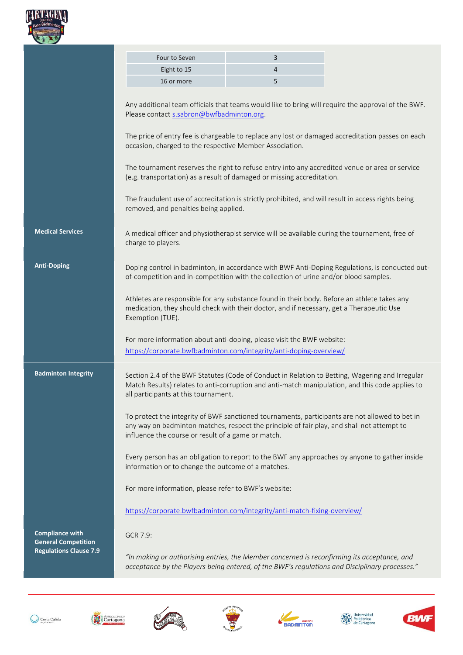

|                                                      | Four to Seven                                                                                                                                                                                                                                      | 3 |                                                                                                    |  |  |  |
|------------------------------------------------------|----------------------------------------------------------------------------------------------------------------------------------------------------------------------------------------------------------------------------------------------------|---|----------------------------------------------------------------------------------------------------|--|--|--|
|                                                      | Eight to 15                                                                                                                                                                                                                                        | 4 |                                                                                                    |  |  |  |
|                                                      | 16 or more                                                                                                                                                                                                                                         | 5 |                                                                                                    |  |  |  |
|                                                      | Please contact s.sabron@bwfbadminton.org.                                                                                                                                                                                                          |   | Any additional team officials that teams would like to bring will require the approval of the BWF. |  |  |  |
|                                                      | The price of entry fee is chargeable to replace any lost or damaged accreditation passes on each<br>occasion, charged to the respective Member Association.                                                                                        |   |                                                                                                    |  |  |  |
|                                                      | The tournament reserves the right to refuse entry into any accredited venue or area or service<br>(e.g. transportation) as a result of damaged or missing accreditation.                                                                           |   |                                                                                                    |  |  |  |
|                                                      | The fraudulent use of accreditation is strictly prohibited, and will result in access rights being<br>removed, and penalties being applied.                                                                                                        |   |                                                                                                    |  |  |  |
| <b>Medical Services</b>                              | A medical officer and physiotherapist service will be available during the tournament, free of<br>charge to players.                                                                                                                               |   |                                                                                                    |  |  |  |
| <b>Anti-Doping</b>                                   | of-competition and in-competition with the collection of urine and/or blood samples.                                                                                                                                                               |   | Doping control in badminton, in accordance with BWF Anti-Doping Regulations, is conducted out-     |  |  |  |
|                                                      | Athletes are responsible for any substance found in their body. Before an athlete takes any<br>medication, they should check with their doctor, and if necessary, get a Therapeutic Use<br>Exemption (TUE).                                        |   |                                                                                                    |  |  |  |
|                                                      | For more information about anti-doping, please visit the BWF website:<br>https://corporate.bwfbadminton.com/integrity/anti-doping-overview/                                                                                                        |   |                                                                                                    |  |  |  |
| <b>Badminton Integrity</b>                           | Section 2.4 of the BWF Statutes (Code of Conduct in Relation to Betting, Wagering and Irregular<br>Match Results) relates to anti-corruption and anti-match manipulation, and this code applies to<br>all participants at this tournament.         |   |                                                                                                    |  |  |  |
|                                                      | To protect the integrity of BWF sanctioned tournaments, participants are not allowed to bet in<br>any way on badminton matches, respect the principle of fair play, and shall not attempt to<br>influence the course or result of a game or match. |   |                                                                                                    |  |  |  |
|                                                      | Every person has an obligation to report to the BWF any approaches by anyone to gather inside<br>information or to change the outcome of a matches.                                                                                                |   |                                                                                                    |  |  |  |
|                                                      | For more information, please refer to BWF's website:                                                                                                                                                                                               |   |                                                                                                    |  |  |  |
|                                                      | https://corporate.bwfbadminton.com/integrity/anti-match-fixing-overview/                                                                                                                                                                           |   |                                                                                                    |  |  |  |
| <b>Compliance with</b><br><b>General Competition</b> | GCR 7.9:                                                                                                                                                                                                                                           |   |                                                                                                    |  |  |  |
| <b>Regulations Clause 7.9</b>                        | "In making or authorising entries, the Member concerned is reconfirming its acceptance, and<br>acceptance by the Players being entered, of the BWF's regulations and Disciplinary processes."                                                      |   |                                                                                                    |  |  |  |













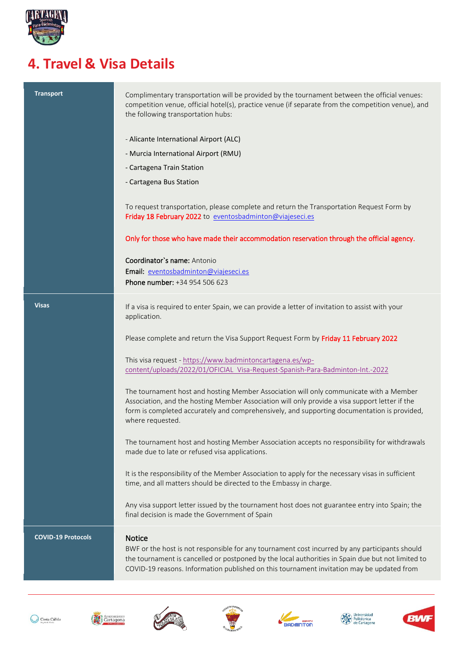

### **4. Travel & Visa Details**

| <b>Transport</b>          | Complimentary transportation will be provided by the tournament between the official venues:<br>competition venue, official hotel(s), practice venue (if separate from the competition venue), and<br>the following transportation hubs:                                                                          |
|---------------------------|-------------------------------------------------------------------------------------------------------------------------------------------------------------------------------------------------------------------------------------------------------------------------------------------------------------------|
|                           | - Alicante International Airport (ALC)                                                                                                                                                                                                                                                                            |
|                           | - Murcia International Airport (RMU)                                                                                                                                                                                                                                                                              |
|                           | - Cartagena Train Station                                                                                                                                                                                                                                                                                         |
|                           | - Cartagena Bus Station                                                                                                                                                                                                                                                                                           |
|                           | To request transportation, please complete and return the Transportation Request Form by<br>Friday 18 February 2022 to eventosbadminton@viajeseci.es                                                                                                                                                              |
|                           | Only for those who have made their accommodation reservation through the official agency.                                                                                                                                                                                                                         |
|                           | Coordinator's name: Antonio<br>Email: eventosbadminton@viajeseci.es<br>Phone number: +34 954 506 623                                                                                                                                                                                                              |
|                           |                                                                                                                                                                                                                                                                                                                   |
| <b>Visas</b>              | If a visa is required to enter Spain, we can provide a letter of invitation to assist with your<br>application.                                                                                                                                                                                                   |
|                           | Please complete and return the Visa Support Request Form by Friday 11 February 2022                                                                                                                                                                                                                               |
|                           | This visa request - https://www.badmintoncartagena.es/wp-<br>content/uploads/2022/01/OFICIAL Visa-Request-Spanish-Para-Badminton-Int.-2022                                                                                                                                                                        |
|                           | The tournament host and hosting Member Association will only communicate with a Member<br>Association, and the hosting Member Association will only provide a visa support letter if the<br>form is completed accurately and comprehensively, and supporting documentation is provided,<br>where requested.       |
|                           | The tournament host and hosting Member Association accepts no responsibility for withdrawals<br>made due to late or refused visa applications.                                                                                                                                                                    |
|                           | It is the responsibility of the Member Association to apply for the necessary visas in sufficient<br>time, and all matters should be directed to the Embassy in charge.                                                                                                                                           |
|                           | Any visa support letter issued by the tournament host does not guarantee entry into Spain; the<br>final decision is made the Government of Spain                                                                                                                                                                  |
| <b>COVID-19 Protocols</b> | <b>Notice</b><br>BWF or the host is not responsible for any tournament cost incurred by any participants should<br>the tournament is cancelled or postponed by the local authorities in Spain due but not limited to<br>COVID-19 reasons. Information published on this tournament invitation may be updated from |













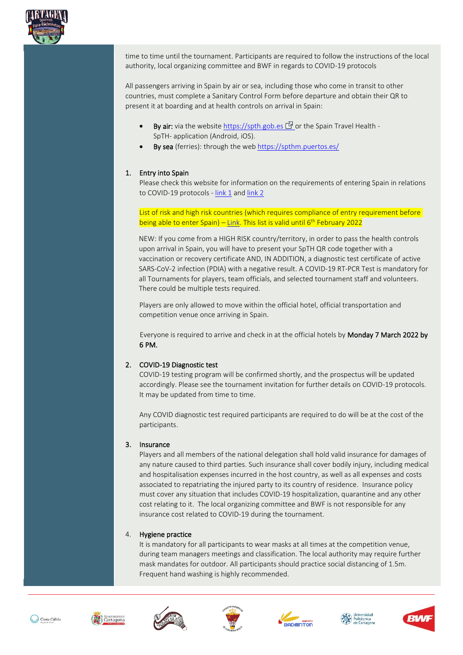

time to time until the tournament. Participants are required to follow the instructions of the local authority, local organizing committee and BWF in regards to COVID-19 protocols

All passengers arriving in Spain by air or sea, including those who come in transit to other countries, must complete a Sanitary Control Form before departure and obtain their QR to present it at boarding and at health controls on arrival in Spain:

- By air: via the website [https://spth.gob.es](https://spth.gob.es/)  $\mathbb{N}$  or the Spain Travel Health -SpTH- application (Android, iOS).
- By sea (ferries): through the web <https://spthm.puertos.es/>

#### 1. Entry into Spain

Please check this website for information on the requirements of entering Spain in relations to COVID-19 protocols - [link 1](https://www.sanidad.gob.es/en/profesionales/saludPublica/ccayes/alertasActual/nCov/spth.htm) and [link 2](https://www.spth.gob.es/faq?tab=2)

List of risk and high risk countries (which requires compliance of entry requirement before being able to enter Spain) – <u>Link</u>. This list is valid until 6<sup>th</sup> February 2022

NEW: If you come from a HIGH RISK country/territory, in order to pass the health controls upon arrival in Spain, you will have to present your SpTH QR code together with a vaccination or recovery certificate AND, IN ADDITION, a diagnostic test certificate of active SARS-CoV-2 infection (PDIA) with a negative result. A COVID-19 RT-PCR Test is mandatory for all Tournaments for players, team officials, and selected tournament staff and volunteers. There could be multiple tests required.

Players are only allowed to move within the official hotel, official transportation and competition venue once arriving in Spain.

 Everyone is required to arrive and check in at the official hotels by Monday 7 March 2022 by 6 PM.

#### 2. COVID-19 Diagnostic test

COVID-19 testing program will be confirmed shortly, and the prospectus will be updated accordingly. Please see the tournament invitation for further details on COVID-19 protocols. It may be updated from time to time.

Any COVID diagnostic test required participants are required to do will be at the cost of the participants.

#### 3. Insurance

Players and all members of the national delegation shall hold valid insurance for damages of any nature caused to third parties. Such insurance shall cover bodily injury, including medical and hospitalisation expenses incurred in the host country, as well as all expenses and costs associated to repatriating the injured party to its country of residence. Insurance policy must cover any situation that includes COVID-19 hospitalization, quarantine and any other cost relating to it. The local organizing committee and BWF is not responsible for any insurance cost related to COVID-19 during the tournament.

#### 4. Hygiene practice

It is mandatory for all participants to wear masks at all times at the competition venue, during team managers meetings and classification. The local authority may require further mask mandates for outdoor. All participants should practice social distancing of 1.5m. Frequent hand washing is highly recommended.













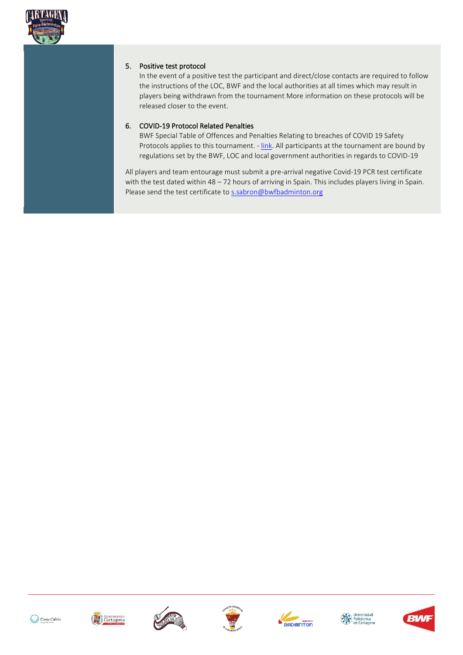

#### 5. Positive test protocol

In the event of a positive test the participant and direct/close contacts are required to follow the instructions of the LOC, BWF and the local authorities at all times which may result in players being withdrawn from the tournament More information on these protocols will be released closer to the event.

#### 6. COVID-19 Protocol Related Penalties

BWF Special Table of Offences and Penalties Relating to breaches of COVID 19 Safety Protocols applies to this tournament. - [link.](https://extranet.bwfbadminton.com/docs/document-system/81/1466/1468/Section%202.5.1.%20Special%20Table%20of%20Offences%20and%20Penalties%20Relating%20to%20breaches%20of%20COVID19%20Safety%20Protocols.pdf) All participants at the tournament are bound by regulations set by the BWF, LOC and local government authorities in regards to COVID-19

All players and team entourage must submit a pre-arrival negative Covid-19 PCR test certificate with the test dated within 48 – 72 hours of arriving in Spain. This includes players living in Spain. Please send the test certificate t[o s.sabron@bwfbadminton.org](mailto:s.sabron@bwfbadminton.org)













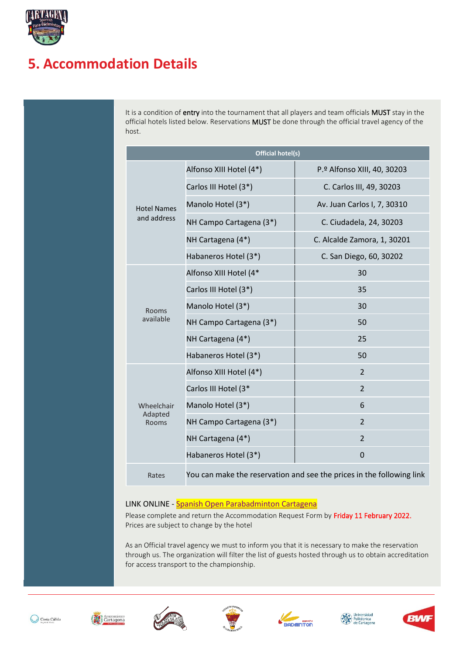

### **5. Accommodation Details**

It is a condition of entry into the tournament that all players and team officials MUST stay in the official hotels listed below. Reservations MUST be done through the official travel agency of the host.

| Official hotel(s)  |                         |                                                                       |  |  |
|--------------------|-------------------------|-----------------------------------------------------------------------|--|--|
| <b>Hotel Names</b> | Alfonso XIII Hotel (4*) | P.º Alfonso XIII, 40, 30203                                           |  |  |
|                    | Carlos III Hotel (3*)   | C. Carlos III, 49, 30203                                              |  |  |
|                    | Manolo Hotel (3*)       | Av. Juan Carlos I, 7, 30310                                           |  |  |
| and address        | NH Campo Cartagena (3*) | C. Ciudadela, 24, 30203                                               |  |  |
|                    | NH Cartagena (4*)       | C. Alcalde Zamora, 1, 30201                                           |  |  |
|                    | Habaneros Hotel (3*)    | C. San Diego, 60, 30202                                               |  |  |
|                    | Alfonso XIII Hotel (4*  | 30                                                                    |  |  |
|                    | Carlos III Hotel (3*)   | 35                                                                    |  |  |
| Rooms              | Manolo Hotel (3*)       | 30                                                                    |  |  |
| available          | NH Campo Cartagena (3*) | 50                                                                    |  |  |
|                    | NH Cartagena (4*)       | 25                                                                    |  |  |
|                    | Habaneros Hotel (3*)    | 50                                                                    |  |  |
|                    | Alfonso XIII Hotel (4*) | $\overline{2}$                                                        |  |  |
|                    | Carlos III Hotel (3*    | $\overline{2}$                                                        |  |  |
| <b>Wheelchair</b>  | Manolo Hotel (3*)       | 6                                                                     |  |  |
| Adapted<br>Rooms   | NH Campo Cartagena (3*) | $\overline{2}$                                                        |  |  |
|                    | NH Cartagena (4*)       | $\overline{2}$                                                        |  |  |
|                    | Habaneros Hotel (3*)    | $\Omega$                                                              |  |  |
| Rates              |                         | You can make the reservation and see the prices in the following link |  |  |

#### LINK ONLINE - [Spanish Open Parabadminton Cartagena](https://www.divisioneventosdeportivos.com/deportes/cgi.hrb?idexp=Y828S&main=alojamientos&idsubexp=EW3ZK)

Please complete and return the Accommodation Request Form by Friday 11 February 2022. Prices are subject to change by the hotel

As an Official travel agency we must to inform you that it is necessary to make the reservation through us. The organization will filter the list of guests hosted through us to obtain accreditation for access transport to the championship.













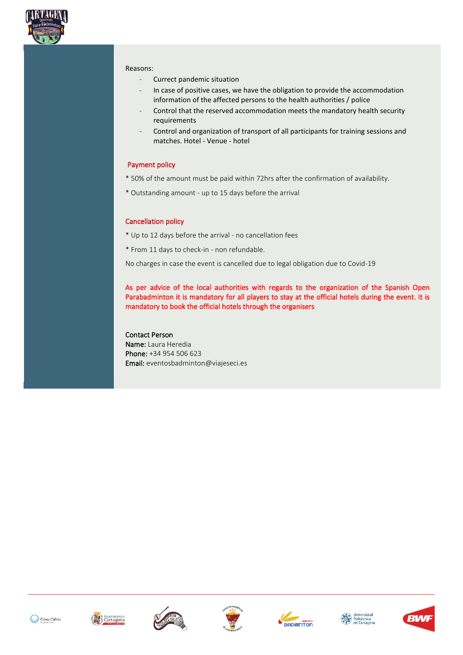

#### Reasons:

- Currect pandemic situation
- In case of positive cases, we have the obligation to provide the accommodation information of the affected persons to the health authorities / police
- Control that the reserved accommodation meets the mandatory health security requirements
- Control and organization of transport of all participants for training sessions and matches. Hotel - Venue - hotel

#### Payment policy

- \* 50% of the amount must be paid within 72hrs after the confirmation of availability.
- \* Outstanding amount up to 15 days before the arrival

#### Cancellation policy

- \* Up to 12 days before the arrival no cancellation fees
- \* From 11 days to check-in non refundable.

No charges in case the event is cancelled due to legal obligation due to Covid-19

As per advice of the local authorities with regards to the organization of the Spanish Open Parabadminton it is mandatory for all players to stay at the official hotels during the event. It is mandatory to book the official hotels through the organisers

#### Contact Person

Name: Laura Heredia Phone: +34 954 506 623 Email: eventosbadminton@viajeseci.es